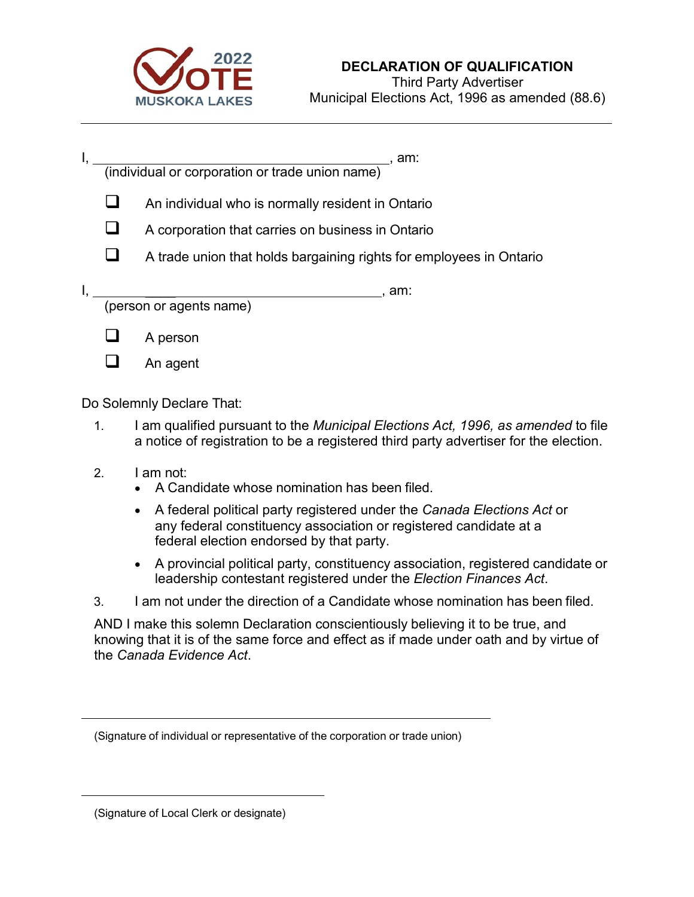

|  | am:<br>(individual or corporation or trade union name)                                                 |
|--|--------------------------------------------------------------------------------------------------------|
|  | An individual who is normally resident in Ontario<br>A corporation that carries on business in Ontario |
|  | A trade union that holds bargaining rights for employees in Ontario                                    |
|  | am:<br>(person or agents name)                                                                         |
|  | A person                                                                                               |
|  | An agent                                                                                               |

Do Solemnly Declare That:

- 1. I am qualified pursuant to the *Municipal Elections Act, 1996, as amended* to file a notice of registration to be a registered third party advertiser for the election.
- 2. I am not:
	- A Candidate whose nomination has been filed.
	- A federal political party registered under the *Canada Elections Act* or any federal constituency association or registered candidate at a federal election endorsed by that party.
	- A provincial political party, constituency association, registered candidate or leadership contestant registered under the *Election Finances Act*.
- 3. I am not under the direction of a Candidate whose nomination has been filed.

AND I make this solemn Declaration conscientiously believing it to be true, and knowing that it is of the same force and effect as if made under oath and by virtue of the *Canada Evidence Act*.

(Signature of individual or representative of the corporation or trade union)

(Signature of Local Clerk or designate)